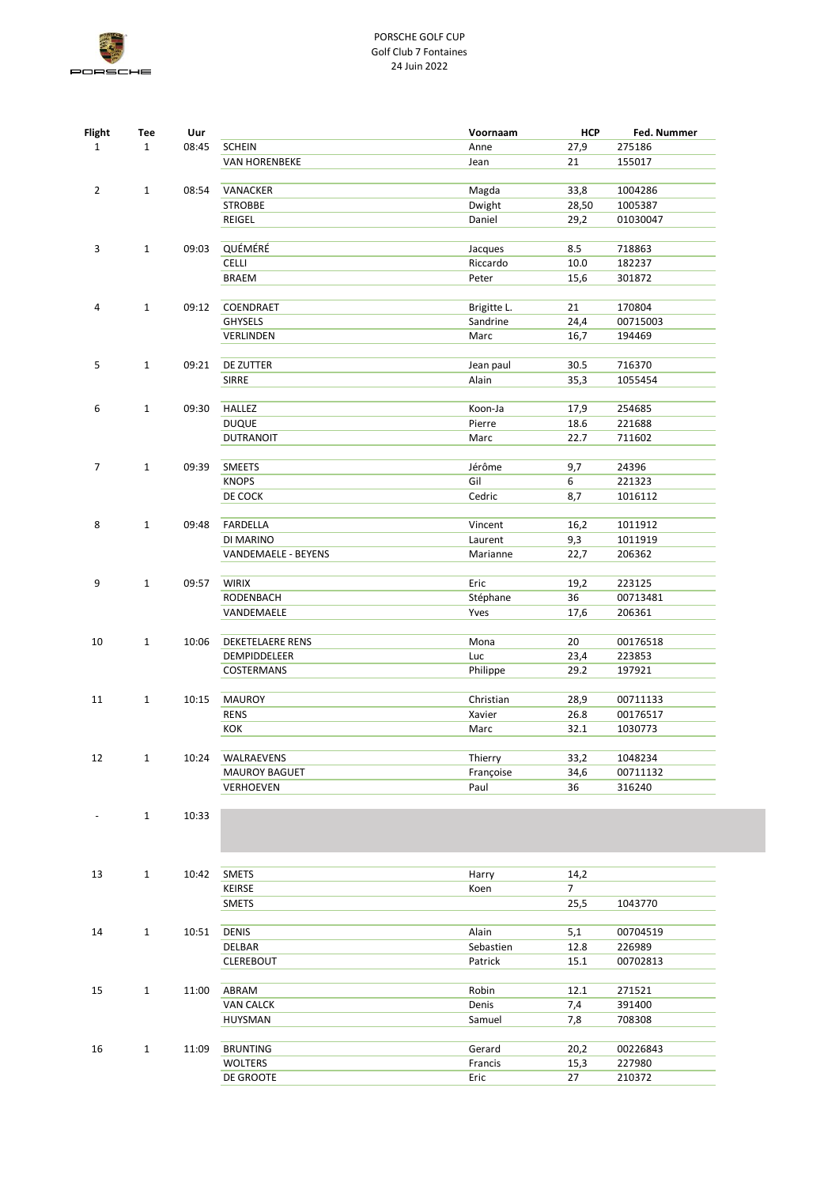

| <b>Flight</b>  | Tee          | Uur   |                             | Voornaam                | <b>HCP</b>     | Fed. Nummer     |
|----------------|--------------|-------|-----------------------------|-------------------------|----------------|-----------------|
| $\mathbf 1$    | $\mathbf{1}$ | 08:45 | <b>SCHEIN</b>               | Anne                    | 27,9           | 275186          |
|                |              |       | <b>VAN HORENBEKE</b>        | Jean                    | 21             | 155017          |
|                |              |       |                             |                         |                |                 |
| $\overline{2}$ | $\mathbf{1}$ | 08:54 | VANACKER                    | Magda                   | 33,8           | 1004286         |
|                |              |       | <b>STROBBE</b>              | Dwight                  | 28,50          | 1005387         |
|                |              |       | REIGEL                      | Daniel                  | 29,2           | 01030047        |
|                |              |       |                             |                         |                |                 |
| 3              | $\mathbf{1}$ | 09:03 | QUÉMÉRÉ                     | Jacques                 | 8.5            | 718863          |
|                |              |       | <b>CELLI</b>                | Riccardo                | 10.0           | 182237          |
|                |              |       | <b>BRAEM</b>                | Peter                   | 15,6           | 301872          |
|                | $\mathbf{1}$ |       |                             |                         |                | 170804          |
| 4              |              | 09:12 | COENDRAET<br><b>GHYSELS</b> | Brigitte L.<br>Sandrine | 21<br>24,4     | 00715003        |
|                |              |       | VERLINDEN                   | Marc                    | 16,7           | 194469          |
|                |              |       |                             |                         |                |                 |
| 5              | $\mathbf{1}$ | 09:21 | DE ZUTTER                   | Jean paul               | 30.5           | 716370          |
|                |              |       | <b>SIRRE</b>                | Alain                   | 35,3           | 1055454         |
|                |              |       |                             |                         |                |                 |
| 6              | $\mathbf{1}$ | 09:30 | HALLEZ                      | Koon-Ja                 | 17,9           | 254685          |
|                |              |       | <b>DUQUE</b>                | Pierre                  | 18.6           | 221688          |
|                |              |       | <b>DUTRANOIT</b>            | Marc                    | 22.7           | 711602          |
|                | $\mathbf{1}$ |       |                             |                         |                |                 |
| 7              |              | 09:39 | SMEETS<br><b>KNOPS</b>      | Jérôme<br>Gil           | 9,7<br>6       | 24396<br>221323 |
|                |              |       | DE COCK                     | Cedric                  | 8,7            | 1016112         |
|                |              |       |                             |                         |                |                 |
| 8              | $\mathbf{1}$ | 09:48 | FARDELLA                    | Vincent                 | 16,2           | 1011912         |
|                |              |       | DI MARINO                   | Laurent                 | 9,3            | 1011919         |
|                |              |       | VANDEMAELE - BEYENS         | Marianne                | 22,7           | 206362          |
|                |              |       |                             |                         |                |                 |
| 9              | $\mathbf{1}$ | 09:57 | <b>WIRIX</b>                | Eric                    | 19,2           | 223125          |
|                |              |       | RODENBACH                   | Stéphane                | 36             | 00713481        |
|                |              |       | VANDEMAELE                  | Yves                    | 17,6           | 206361          |
| 10             | 1            | 10:06 | DEKETELAERE RENS            | Mona                    | 20             | 00176518        |
|                |              |       | DEMPIDDELEER                | Luc                     | 23,4           | 223853          |
|                |              |       | COSTERMANS                  | Philippe                | 29.2           | 197921          |
|                |              |       |                             |                         |                |                 |
| 11             | $\mathbf{1}$ | 10:15 | <b>MAUROY</b>               | Christian               | 28,9           | 00711133        |
|                |              |       | <b>RENS</b>                 | Xavier                  | 26.8           | 00176517        |
|                |              |       | KOK                         | Marc                    | 32.1           | 1030773         |
|                |              |       |                             |                         |                |                 |
| 12             | $\mathbf 1$  | 10:24 | WALRAEVENS                  | Thierry                 | 33,2           | 1048234         |
|                |              |       | <b>MAUROY BAGUET</b>        | Françoise               | 34,6           | 00711132        |
|                |              |       | VERHOEVEN                   | Paul                    | 36             | 316240          |
|                | $\mathbf{1}$ | 10:33 |                             |                         |                |                 |
|                |              |       |                             |                         |                |                 |
|                |              |       |                             |                         |                |                 |
|                |              |       |                             |                         |                |                 |
| 13             | $\mathbf{1}$ | 10:42 | <b>SMETS</b>                | Harry                   | 14,2           |                 |
|                |              |       | KEIRSE                      | Koen                    | $\overline{7}$ |                 |
|                |              |       | <b>SMETS</b>                |                         | 25,5           | 1043770         |
|                |              |       |                             |                         |                |                 |
| 14             | $\mathbf{1}$ | 10:51 | <b>DENIS</b>                | Alain                   | 5,1            | 00704519        |
|                |              |       | DELBAR                      | Sebastien               | 12.8           | 226989          |
|                |              |       | <b>CLEREBOUT</b>            | Patrick                 | 15.1           | 00702813        |
| 15             | $\mathbf{1}$ | 11:00 | ABRAM                       | Robin                   | 12.1           | 271521          |
|                |              |       | <b>VAN CALCK</b>            | Denis                   | 7,4            | 391400          |
|                |              |       | HUYSMAN                     | Samuel                  | 7,8            | 708308          |
|                |              |       |                             |                         |                |                 |
| 16             | $\mathbf{1}$ | 11:09 | <b>BRUNTING</b>             | Gerard                  | 20,2           | 00226843        |
|                |              |       | WOLTERS                     | Francis                 | 15,3           | 227980          |
|                |              |       | DE GROOTE                   | Eric                    | 27             | 210372          |